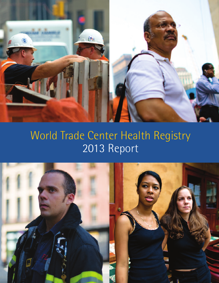

# World Trade Center Health Registry 2013 Report

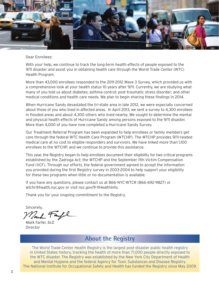

Dear Enrollees:

With your help, we continue to track the long-term health effects of people exposed to the 9/11 disaster and assist you in obtaining health care through the World Trade Center (WTC) Health Program.

More than 43,000 enrollees responded to the 2011-2012 Wave 3 Survey, which provided us with a comprehensive look at your health status 10 years after 9/11. Currently, we are studying what many of you told us about diabetes; asthma control; post-traumatic stress disorder; and other medical conditions and health care needs. We plan to begin sharing these findings in 2014.

When Hurricane Sandy devastated the tri-state area in late 2012, we were especially concerned about those of you who lived in affected areas. In April 2013, we sent a survey to 4,300 enrollees in flooded areas and about 4,300 others who lived nearby. We sought to determine the mental and physical health effects of Hurricane Sandy among persons exposed to the 9/11 disaster. More than 4,000 of you have now completed a Hurricane Sandy Survey.

Our Treatment Referral Program has been expanded to help enrollees or family members get care through the federal WTC Health Care Program (WTCHP). The WTCHP provides 9/11-related medical care at no cost to eligible responders and survivors. We have linked more than 1,100 enrollees to the WTCHP, and we continue to provide this assistance.

This year, the Registry began to help enrollees document their eligibility for two critical programs established by the Zadroga Act: the WTCHP and the September 11th Victim Compensation Fund (VCF). Through our efforts, the federal government agreed to accept the information you provided during the first Registry survey in 2003-2004 to help support your eligibility for these two programs when little or no documentation is available.

If you have any questions, please contact us at 866-NYC-WTCR (866-692-9827) or [wtchr@health.nyc.gov](mailto:wtchr@health.nyc.gov) or visit [nyc.gov/9-11HealthInfo.](www.nyc.gov/9-11HealthInfo)

Thank you for your ongoing commitment to the Registry.

Sincerely,

Park Fampl

Mark Farfel, ScD Director

### **About the Registry**

The World Trade Center Health Registry is the largest post-disaster public health registry in United States history, tracking the health of more than 71,000 people directly exposed to the WTC disaster. The Registry was established by the New York City Department of Health and Mental Hygiene and the federal Agency for Toxic Substances and Disease Registry. The National Institute for Occupational Safety and Health has funded the Registry since May 2009.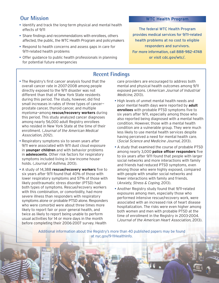## **Our Mission**

- Identify and track the long-term physical and mental health effects of 9/11
- Share findings and recommendations with enrollees, others affected, the public, the WTC Health Program and policymakers
- Respond to health concerns and assess gaps in care for 9/11-related health problems
- Offer guidance to public health professionals in planning for potential future emergencies

#### **WTC Health Program**

The federal WTC Health Program provides medical services for 9/11-related health problems at no cost to eligible responders and survivors. For more information, call 888-982-4748 or visit [cdc.gov/wtc/.](www.cdc.gov/wtc/)

## **Recent Findings**

- The Registry's first cancer analysis found that the overall cancer rate in 2007-2008 among people directly exposed to the 9/11 disaster was not different than that of New York State residents during this period. The study, however, did find small increases in rates of three types of cancer prostate cancer, thyroid cancer, and multiple myeloma—among **rescue/recovery workers** during this period. This study analyzed cancer diagnoses among nearly 56,000 adult Registry enrollees who resided in New York State at the time of their enrollment. (Journal of the American Medical Association, 2012).
- Respiratory symptoms six to seven years after 9/11 were associated with 9/11 dust cloud exposure in **younger children** and with behavior problems in **adolescents**. Other risk factors for respiratory symptoms included living in low-income households. (Journal of Asthma, 2013).
- A study of 14,388 **rescue/recovery workers** five to six years after 9/11 found that 40% of those with lower respiratory symptoms and 57% of those with likely posttraumatic stress disorder (PTSD) had both types of symptoms. Rescue/recovery workers with this combination, or comorbidity, had more severe illness than responders with respiratory symptoms alone or probable PTSD alone. Responders who were comorbid were about three times more likely to report fair or poor general health, and twice as likely to report being unable to perform usual activities for 14 or more days in the month before completing their 2006-2007 survey. Health

care providers are encouraged to address both mental and physical health outcomes among 9/11 exposed persons. (American Journal of Industrial Medicine, 2013).

- High levels of unmet mental health needs and poor mental health days were reported by **adult enrollees** with probable PTSD symptoms five to six years after 9/11, especially among those who also reported being diagnosed with a mental health condition. However, those with a mental health condition are a vulnerable group. They were much less likely to use mental health services despite having perceived a need for mental health care. (Social Science and Medicine Journal, 2013).
- A study that examined the course of probable PTSD among nearly 3,000 **police officer responders** five to six years after 9/11 found that people with larger social networks and more interactions with family and friends had reduced PTSD symptoms, even among those who were highly exposed, compared with people with smaller social networks and fewer interactions with family and friends. (Anxiety, Stress & Coping, 2013).
- Another Registry study found that 9/11-related exposures among men, especially those who performed intensive rescue/recovery work, were associated with an increased risk of heart disease hospitalization. The risks were even higher among both women and men with probable PTSD at the time of enrollment in the Registry in 2003-2004. (Journal of the American Heart Association, 2013).

3

Additional information about the Registry's more than 40 published papers may be found at [nyc.gov/9-11HealthInfo.](www.nyc.gov/9-11HealthInfo)